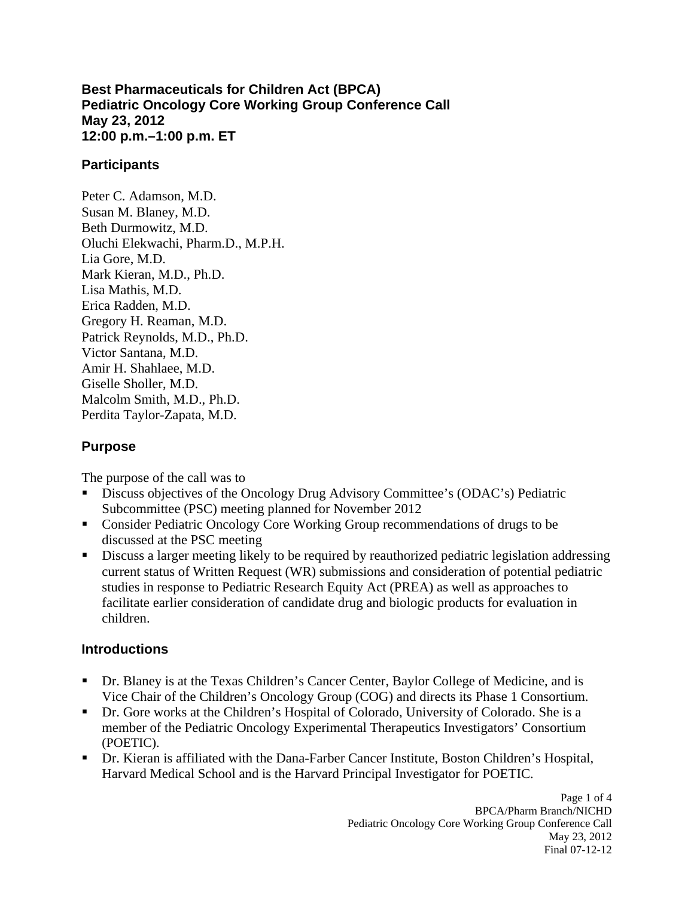### **Best Pharmaceuticals for Children Act (BPCA) Pediatric Oncology Core Working Group Conference Call May 23, 2012 12:00 p.m.–1:00 p.m. ET**

### **Participants**

Peter C. Adamson, M.D. Susan M. Blaney, M.D. Beth Durmowitz, M.D. Oluchi Elekwachi, Pharm.D., M.P.H. Lia Gore, M.D. Mark Kieran, M.D., Ph.D. Lisa Mathis, M.D. Erica Radden, M.D. Gregory H. Reaman, M.D. Patrick Reynolds, M.D., Ph.D. Victor Santana, M.D. Amir H. Shahlaee, M.D. Giselle Sholler, M.D. Malcolm Smith, M.D., Ph.D. Perdita Taylor-Zapata, M.D.

### **Purpose**

The purpose of the call was to

- Discuss objectives of the Oncology Drug Advisory Committee's (ODAC's) Pediatric Subcommittee (PSC) meeting planned for November 2012
- Consider Pediatric Oncology Core Working Group recommendations of drugs to be discussed at the PSC meeting
- Discuss a larger meeting likely to be required by reauthorized pediatric legislation addressing current status of Written Request (WR) submissions and consideration of potential pediatric studies in response to Pediatric Research Equity Act (PREA) as well as approaches to facilitate earlier consideration of candidate drug and biologic products for evaluation in children.

## **Introductions**

- Dr. Blaney is at the Texas Children's Cancer Center, Baylor College of Medicine, and is Vice Chair of the Children's Oncology Group (COG) and directs its Phase 1 Consortium.
- Dr. Gore works at the Children's Hospital of Colorado, University of Colorado. She is a member of the Pediatric Oncology Experimental Therapeutics Investigators' Consortium (POETIC).
- Dr. Kieran is affiliated with the Dana-Farber Cancer Institute, Boston Children's Hospital, Harvard Medical School and is the Harvard Principal Investigator for POETIC.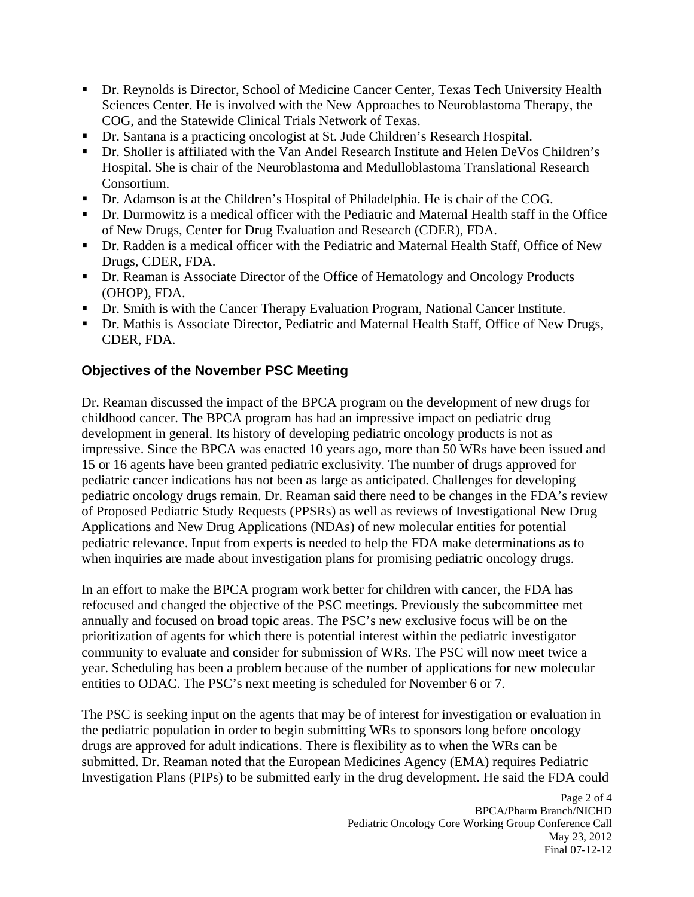- Dr. Reynolds is Director, School of Medicine Cancer Center, Texas Tech University Health Sciences Center. He is involved with the New Approaches to Neuroblastoma Therapy, the COG, and the Statewide Clinical Trials Network of Texas.
- Dr. Santana is a practicing oncologist at St. Jude Children's Research Hospital.
- Dr. Sholler is affiliated with the Van Andel Research Institute and Helen DeVos Children's Hospital. She is chair of the Neuroblastoma and Medulloblastoma Translational Research Consortium.
- Dr. Adamson is at the Children's Hospital of Philadelphia. He is chair of the COG.
- Dr. Durmowitz is a medical officer with the Pediatric and Maternal Health staff in the Office of New Drugs, Center for Drug Evaluation and Research (CDER), FDA.
- Dr. Radden is a medical officer with the Pediatric and Maternal Health Staff, Office of New Drugs, CDER, FDA.
- Dr. Reaman is Associate Director of the Office of Hematology and Oncology Products (OHOP), FDA.
- Dr. Smith is with the Cancer Therapy Evaluation Program, National Cancer Institute.
- Dr. Mathis is Associate Director, Pediatric and Maternal Health Staff, Office of New Drugs, CDER, FDA.

# **Objectives of the November PSC Meeting**

Dr. Reaman discussed the impact of the BPCA program on the development of new drugs for childhood cancer. The BPCA program has had an impressive impact on pediatric drug development in general. Its history of developing pediatric oncology products is not as impressive. Since the BPCA was enacted 10 years ago, more than 50 WRs have been issued and 15 or 16 agents have been granted pediatric exclusivity. The number of drugs approved for pediatric cancer indications has not been as large as anticipated. Challenges for developing pediatric oncology drugs remain. Dr. Reaman said there need to be changes in the FDA's review of Proposed Pediatric Study Requests (PPSRs) as well as reviews of Investigational New Drug Applications and New Drug Applications (NDAs) of new molecular entities for potential pediatric relevance. Input from experts is needed to help the FDA make determinations as to when inquiries are made about investigation plans for promising pediatric oncology drugs.

In an effort to make the BPCA program work better for children with cancer, the FDA has refocused and changed the objective of the PSC meetings. Previously the subcommittee met annually and focused on broad topic areas. The PSC's new exclusive focus will be on the prioritization of agents for which there is potential interest within the pediatric investigator community to evaluate and consider for submission of WRs. The PSC will now meet twice a year. Scheduling has been a problem because of the number of applications for new molecular entities to ODAC. The PSC's next meeting is scheduled for November 6 or 7.

The PSC is seeking input on the agents that may be of interest for investigation or evaluation in the pediatric population in order to begin submitting WRs to sponsors long before oncology drugs are approved for adult indications. There is flexibility as to when the WRs can be submitted. Dr. Reaman noted that the European Medicines Agency (EMA) requires Pediatric Investigation Plans (PIPs) to be submitted early in the drug development. He said the FDA could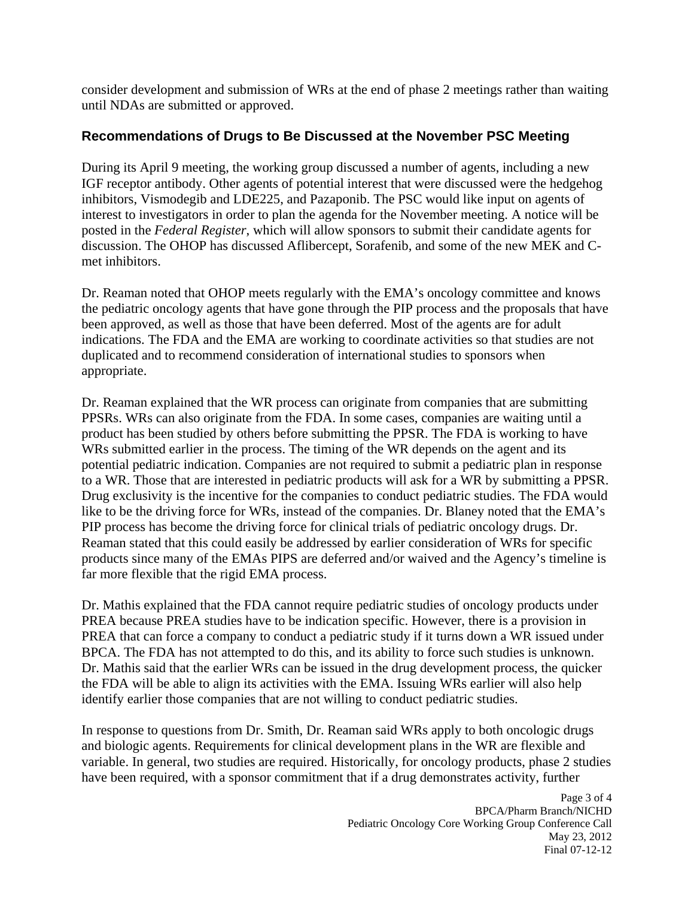consider development and submission of WRs at the end of phase 2 meetings rather than waiting until NDAs are submitted or approved.

## **Recommendations of Drugs to Be Discussed at the November PSC Meeting**

During its April 9 meeting, the working group discussed a number of agents, including a new IGF receptor antibody. Other agents of potential interest that were discussed were the hedgehog inhibitors, Vismodegib and LDE225, and Pazaponib. The PSC would like input on agents of interest to investigators in order to plan the agenda for the November meeting. A notice will be posted in the *Federal Register*, which will allow sponsors to submit their candidate agents for discussion. The OHOP has discussed Aflibercept, Sorafenib, and some of the new MEK and Cmet inhibitors.

Dr. Reaman noted that OHOP meets regularly with the EMA's oncology committee and knows the pediatric oncology agents that have gone through the PIP process and the proposals that have been approved, as well as those that have been deferred. Most of the agents are for adult indications. The FDA and the EMA are working to coordinate activities so that studies are not duplicated and to recommend consideration of international studies to sponsors when appropriate.

Dr. Reaman explained that the WR process can originate from companies that are submitting PPSRs. WRs can also originate from the FDA. In some cases, companies are waiting until a product has been studied by others before submitting the PPSR. The FDA is working to have WRs submitted earlier in the process. The timing of the WR depends on the agent and its potential pediatric indication. Companies are not required to submit a pediatric plan in response to a WR. Those that are interested in pediatric products will ask for a WR by submitting a PPSR. Drug exclusivity is the incentive for the companies to conduct pediatric studies. The FDA would like to be the driving force for WRs, instead of the companies. Dr. Blaney noted that the EMA's PIP process has become the driving force for clinical trials of pediatric oncology drugs. Dr. Reaman stated that this could easily be addressed by earlier consideration of WRs for specific products since many of the EMAs PIPS are deferred and/or waived and the Agency's timeline is far more flexible that the rigid EMA process.

Dr. Mathis explained that the FDA cannot require pediatric studies of oncology products under PREA because PREA studies have to be indication specific. However, there is a provision in PREA that can force a company to conduct a pediatric study if it turns down a WR issued under BPCA. The FDA has not attempted to do this, and its ability to force such studies is unknown. Dr. Mathis said that the earlier WRs can be issued in the drug development process, the quicker the FDA will be able to align its activities with the EMA. Issuing WRs earlier will also help identify earlier those companies that are not willing to conduct pediatric studies.

In response to questions from Dr. Smith, Dr. Reaman said WRs apply to both oncologic drugs and biologic agents. Requirements for clinical development plans in the WR are flexible and variable. In general, two studies are required. Historically, for oncology products, phase 2 studies have been required, with a sponsor commitment that if a drug demonstrates activity, further